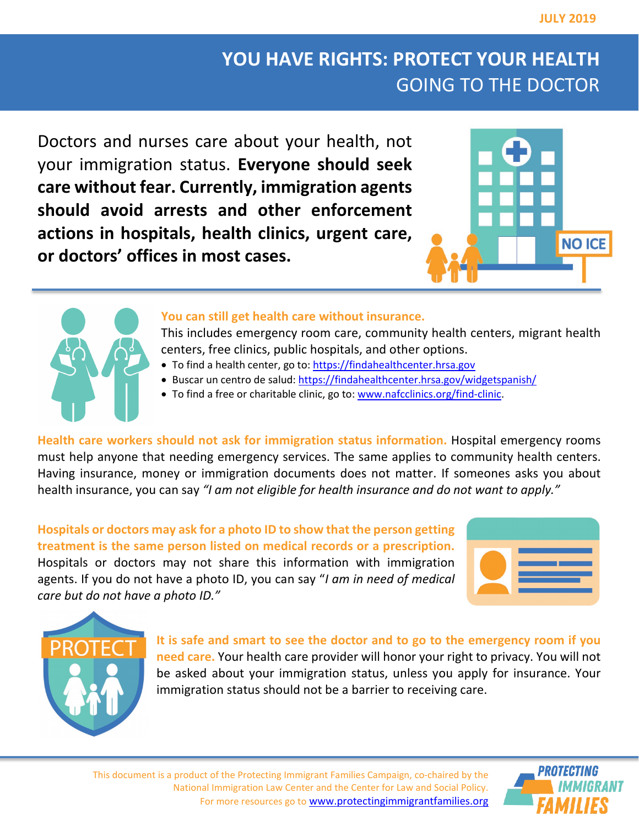## **YOU HAVE RIGHTS: PROTECT YOUR HEALTH** GOING TO THE DOCTOR

Doctors and nurses care about your health, not your immigration status. **Everyone should seek care without fear. Currently, immigration agents should avoid arrests and other enforcement actions in hospitals, health clinics, urgent care, or doctors' offices in most cases.**





## **You can still get health care without insurance.**

This includes emergency room care, community health centers, migrant health centers, free clinics, public hospitals, and other options.

- To find a health center, go to: [https://findahealthcenter.hrsa.gov](https://findahealthcenter.hrsa.gov/)
- Buscar un centro de salud:<https://findahealthcenter.hrsa.gov/widgetspanish/>
- To find a free or charitable clinic, go to[: www.nafcclinics.org/find-clinic.](http://www.nafcclinics.org/find-clinic)

**Health care workers should not ask for immigration status information.** Hospital emergency rooms must help anyone that needing emergency services. The same applies to community health centers. Having insurance, money or immigration documents does not matter. If someones asks you about health insurance, you can say *"I am not eligible for health insurance and do not want to apply."*

**Hospitals or doctors may ask for a photo ID to show that the person getting treatment is the same person listed on medical records or a prescription.** Hospitals or doctors may not share this information with immigration agents. If you do not have a photo ID, you can say "*I am in need of medical care but do not have a photo ID."*





**It is safe and smart to see the doctor and to go to the emergency room if you need care.** Your health care provider will honor your right to privacy. You will not be asked about your immigration status, unless you apply for insurance. Your immigration status should not be a barrier to receiving care.